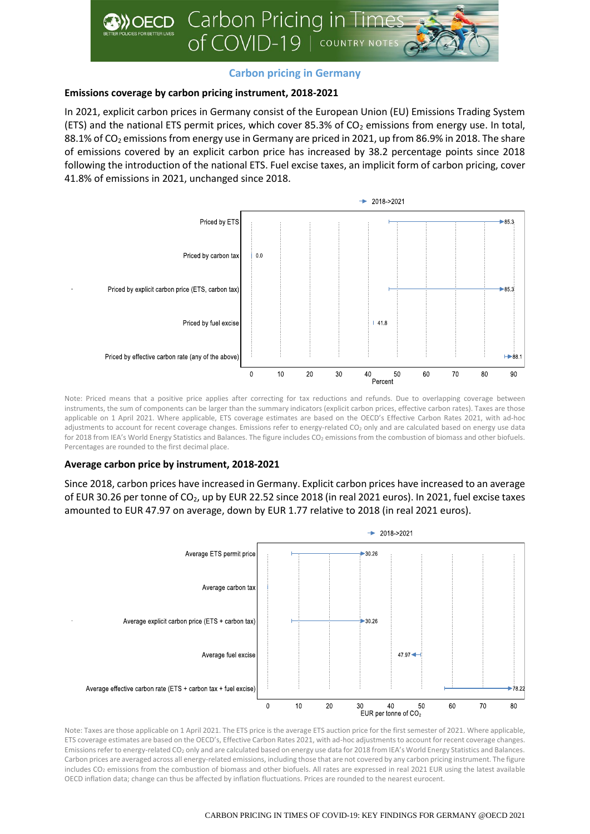

# **Carbon pricing in Germany**

## **Emissions coverage by carbon pricing instrument, 2018-2021**

In 2021, explicit carbon prices in Germany consist of the European Union (EU) Emissions Trading System (ETS) and the national ETS permit prices, which cover 85.3% of  $CO<sub>2</sub>$  emissions from energy use. In total, 88.1% of CO<sub>2</sub> emissions from energy use in Germany are priced in 2021, up from 86.9% in 2018. The share of emissions covered by an explicit carbon price has increased by 38.2 percentage points since 2018 following the introduction of the national ETS. Fuel excise taxes, an implicit form of carbon pricing, cover 41.8% of emissions in 2021, unchanged since 2018.



Note: Priced means that a positive price applies after correcting for tax reductions and refunds. Due to overlapping coverage between instruments, the sum of components can be larger than the summary indicators (explicit carbon prices, effective carbon rates). Taxes are those applicable on 1 April 2021. Where applicable, ETS coverage estimates are based on the OECD's Effective Carbon Rates 2021, with ad-hoc adjustments to account for recent coverage changes. Emissions refer to energy-related CO<sub>2</sub> only and are calculated based on energy use data for 2018 from IEA's World Energy Statistics and Balances. The figure includes CO<sub>2</sub> emissions from the combustion of biomass and other biofuels. Percentages are rounded to the first decimal place.

## **Average carbon price by instrument, 2018-2021**

Since 2018, carbon prices have increased in Germany. Explicit carbon prices have increased to an average of EUR 30.26 per tonne of  $CO<sub>2</sub>$ , up by EUR 22.52 since 2018 (in real 2021 euros). In 2021, fuel excise taxes amounted to EUR 47.97 on average, down by EUR 1.77 relative to 2018 (in real 2021 euros).



Note: Taxes are those applicable on 1 April 2021. The ETS price is the average ETS auction price for the first semester of 2021. Where applicable, ETS coverage estimates are based on the OECD's, Effective Carbon Rates 2021, with ad-hoc adjustments to account for recent coverage changes. Emissions refer to energy-related CO<sup>2</sup> only and are calculated based on energy use data for 2018 from IEA's World Energy Statistics and Balances. Carbon prices are averaged across all energy-related emissions, including those that are not covered by any carbon pricing instrument. The figure includes CO<sup>2</sup> emissions from the combustion of biomass and other biofuels. All rates are expressed in real 2021 EUR using the latest available OECD inflation data; change can thus be affected by inflation fluctuations. Prices are rounded to the nearest eurocent.